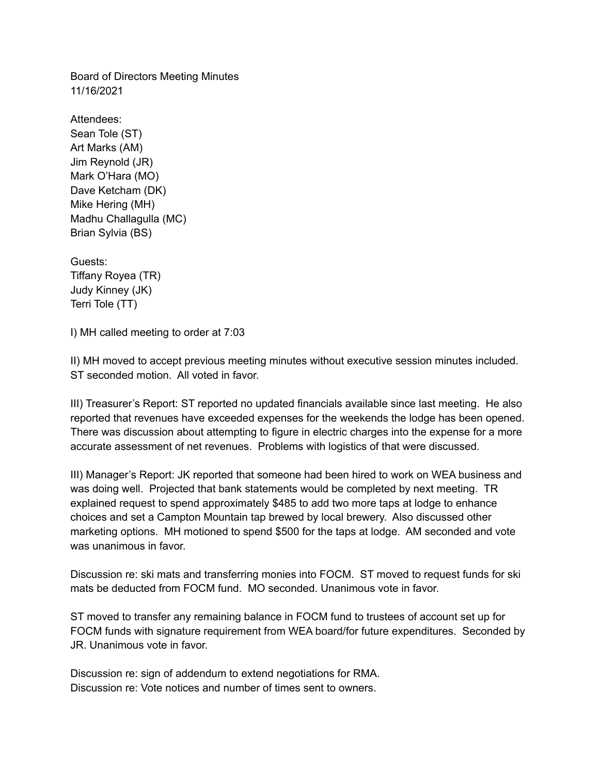Board of Directors Meeting Minutes 11/16/2021

Attendees: Sean Tole (ST) Art Marks (AM) Jim Reynold (JR) Mark O'Hara (MO) Dave Ketcham (DK) Mike Hering (MH) Madhu Challagulla (MC) Brian Sylvia (BS)

Guests: Tiffany Royea (TR) Judy Kinney (JK) Terri Tole (TT)

I) MH called meeting to order at 7:03

II) MH moved to accept previous meeting minutes without executive session minutes included. ST seconded motion. All voted in favor.

III) Treasurer's Report: ST reported no updated financials available since last meeting. He also reported that revenues have exceeded expenses for the weekends the lodge has been opened. There was discussion about attempting to figure in electric charges into the expense for a more accurate assessment of net revenues. Problems with logistics of that were discussed.

III) Manager's Report: JK reported that someone had been hired to work on WEA business and was doing well. Projected that bank statements would be completed by next meeting. TR explained request to spend approximately \$485 to add two more taps at lodge to enhance choices and set a Campton Mountain tap brewed by local brewery. Also discussed other marketing options. MH motioned to spend \$500 for the taps at lodge. AM seconded and vote was unanimous in favor.

Discussion re: ski mats and transferring monies into FOCM. ST moved to request funds for ski mats be deducted from FOCM fund. MO seconded. Unanimous vote in favor.

ST moved to transfer any remaining balance in FOCM fund to trustees of account set up for FOCM funds with signature requirement from WEA board/for future expenditures. Seconded by JR. Unanimous vote in favor.

Discussion re: sign of addendum to extend negotiations for RMA. Discussion re: Vote notices and number of times sent to owners.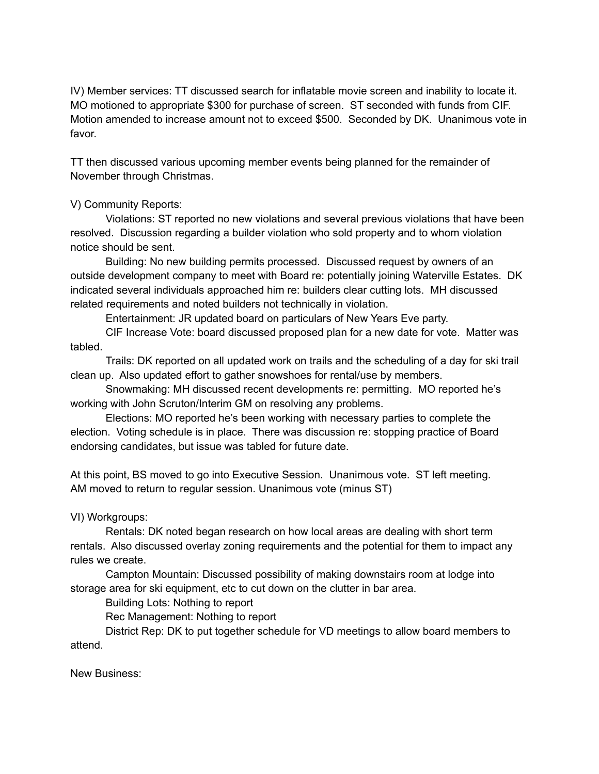IV) Member services: TT discussed search for inflatable movie screen and inability to locate it. MO motioned to appropriate \$300 for purchase of screen. ST seconded with funds from CIF. Motion amended to increase amount not to exceed \$500. Seconded by DK. Unanimous vote in favor.

TT then discussed various upcoming member events being planned for the remainder of November through Christmas.

## V) Community Reports:

Violations: ST reported no new violations and several previous violations that have been resolved. Discussion regarding a builder violation who sold property and to whom violation notice should be sent.

Building: No new building permits processed. Discussed request by owners of an outside development company to meet with Board re: potentially joining Waterville Estates. DK indicated several individuals approached him re: builders clear cutting lots. MH discussed related requirements and noted builders not technically in violation.

Entertainment: JR updated board on particulars of New Years Eve party.

CIF Increase Vote: board discussed proposed plan for a new date for vote. Matter was tabled.

Trails: DK reported on all updated work on trails and the scheduling of a day for ski trail clean up. Also updated effort to gather snowshoes for rental/use by members.

Snowmaking: MH discussed recent developments re: permitting. MO reported he's working with John Scruton/Interim GM on resolving any problems.

Elections: MO reported he's been working with necessary parties to complete the election. Voting schedule is in place. There was discussion re: stopping practice of Board endorsing candidates, but issue was tabled for future date.

At this point, BS moved to go into Executive Session. Unanimous vote. ST left meeting. AM moved to return to regular session. Unanimous vote (minus ST)

VI) Workgroups:

Rentals: DK noted began research on how local areas are dealing with short term rentals. Also discussed overlay zoning requirements and the potential for them to impact any rules we create.

Campton Mountain: Discussed possibility of making downstairs room at lodge into storage area for ski equipment, etc to cut down on the clutter in bar area.

Building Lots: Nothing to report

Rec Management: Nothing to report

District Rep: DK to put together schedule for VD meetings to allow board members to attend.

New Business: